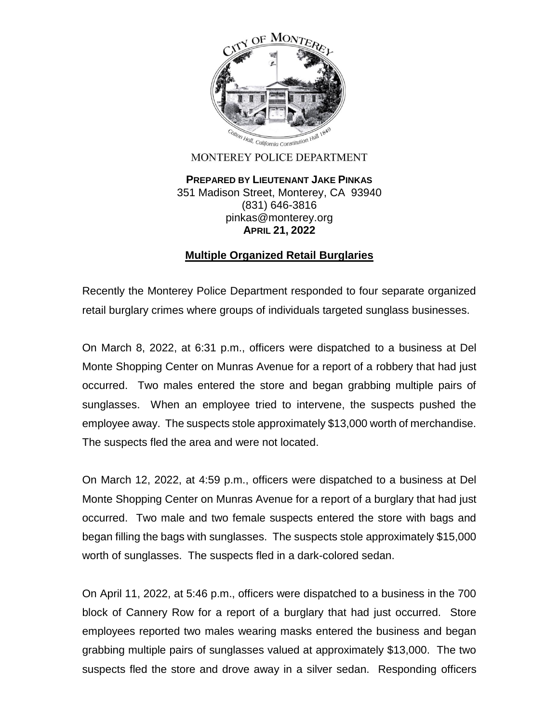

## MONTEREY POLICE DEPARTMENT

**PREPARED BY LIEUTENANT JAKE PINKAS** 351 Madison Street, Monterey, CA 93940 (831) 646-3816 pinkas@monterey.org **APRIL 21, 2022**

## **Multiple Organized Retail Burglaries**

Recently the Monterey Police Department responded to four separate organized retail burglary crimes where groups of individuals targeted sunglass businesses.

On March 8, 2022, at 6:31 p.m., officers were dispatched to a business at Del Monte Shopping Center on Munras Avenue for a report of a robbery that had just occurred. Two males entered the store and began grabbing multiple pairs of sunglasses. When an employee tried to intervene, the suspects pushed the employee away. The suspects stole approximately \$13,000 worth of merchandise. The suspects fled the area and were not located.

On March 12, 2022, at 4:59 p.m., officers were dispatched to a business at Del Monte Shopping Center on Munras Avenue for a report of a burglary that had just occurred. Two male and two female suspects entered the store with bags and began filling the bags with sunglasses. The suspects stole approximately \$15,000 worth of sunglasses. The suspects fled in a dark-colored sedan.

On April 11, 2022, at 5:46 p.m., officers were dispatched to a business in the 700 block of Cannery Row for a report of a burglary that had just occurred. Store employees reported two males wearing masks entered the business and began grabbing multiple pairs of sunglasses valued at approximately \$13,000. The two suspects fled the store and drove away in a silver sedan. Responding officers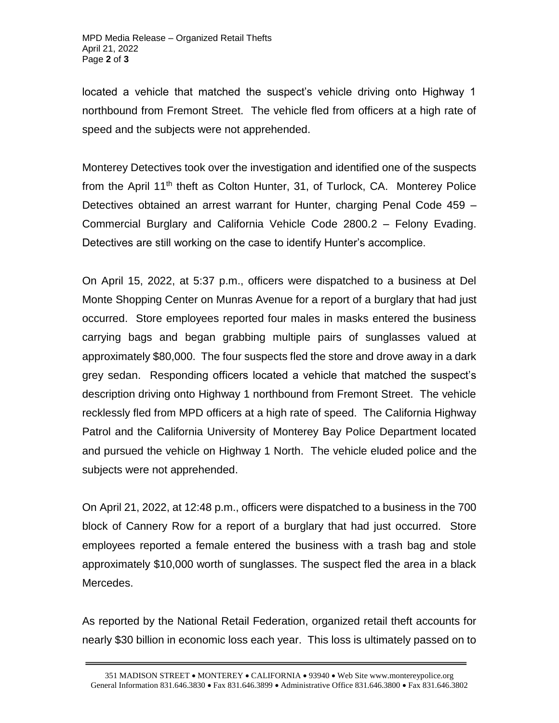located a vehicle that matched the suspect's vehicle driving onto Highway 1 northbound from Fremont Street. The vehicle fled from officers at a high rate of speed and the subjects were not apprehended.

Monterey Detectives took over the investigation and identified one of the suspects from the April 11<sup>th</sup> theft as Colton Hunter, 31, of Turlock, CA. Monterey Police Detectives obtained an arrest warrant for Hunter, charging Penal Code 459 – Commercial Burglary and California Vehicle Code 2800.2 – Felony Evading. Detectives are still working on the case to identify Hunter's accomplice.

On April 15, 2022, at 5:37 p.m., officers were dispatched to a business at Del Monte Shopping Center on Munras Avenue for a report of a burglary that had just occurred. Store employees reported four males in masks entered the business carrying bags and began grabbing multiple pairs of sunglasses valued at approximately \$80,000. The four suspects fled the store and drove away in a dark grey sedan. Responding officers located a vehicle that matched the suspect's description driving onto Highway 1 northbound from Fremont Street. The vehicle recklessly fled from MPD officers at a high rate of speed. The California Highway Patrol and the California University of Monterey Bay Police Department located and pursued the vehicle on Highway 1 North. The vehicle eluded police and the subjects were not apprehended.

On April 21, 2022, at 12:48 p.m., officers were dispatched to a business in the 700 block of Cannery Row for a report of a burglary that had just occurred. Store employees reported a female entered the business with a trash bag and stole approximately \$10,000 worth of sunglasses. The suspect fled the area in a black Mercedes.

As reported by the National Retail Federation, organized retail theft accounts for nearly \$30 billion in economic loss each year. This loss is ultimately passed on to